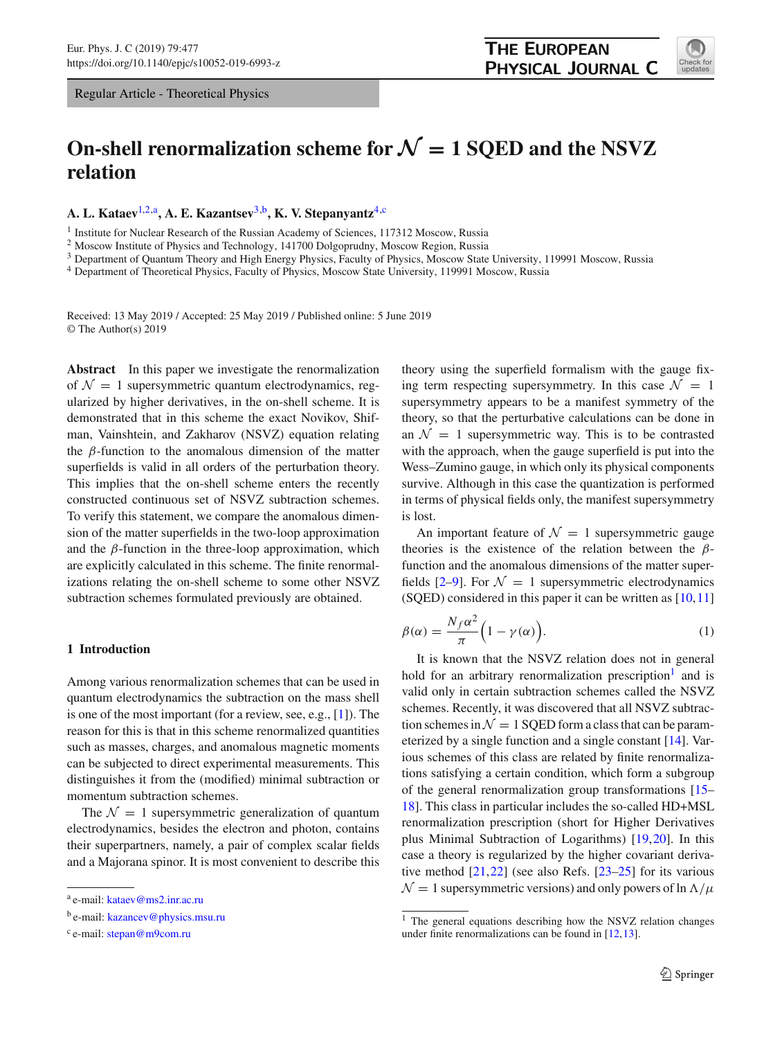# **On-shell renormalization scheme for**  $\mathcal{N} = 1$  **SQED and the NSVZ relation**

**A. L. Kataev**[1,2,](#page-0-0)a**, A. E. Kazantsev**[3,](#page-0-1)b**, K. V. Stepanyantz**[4,](#page-0-2)c

<sup>1</sup> Institute for Nuclear Research of the Russian Academy of Sciences, 117312 Moscow, Russia

<sup>2</sup> Moscow Institute of Physics and Technology, 141700 Dolgoprudny, Moscow Region, Russia

<sup>3</sup> Department of Quantum Theory and High Energy Physics, Faculty of Physics, Moscow State University, 119991 Moscow, Russia

<sup>4</sup> Department of Theoretical Physics, Faculty of Physics, Moscow State University, 119991 Moscow, Russia

Received: 13 May 2019 / Accepted: 25 May 2019 / Published online: 5 June 2019 © The Author(s) 2019

**Abstract** In this paper we investigate the renormalization of  $\mathcal{N} = 1$  supersymmetric quantum electrodynamics, regularized by higher derivatives, in the on-shell scheme. It is demonstrated that in this scheme the exact Novikov, Shifman, Vainshtein, and Zakharov (NSVZ) equation relating the  $\beta$ -function to the anomalous dimension of the matter superfields is valid in all orders of the perturbation theory. This implies that the on-shell scheme enters the recently constructed continuous set of NSVZ subtraction schemes. To verify this statement, we compare the anomalous dimension of the matter superfields in the two-loop approximation and the  $\beta$ -function in the three-loop approximation, which are explicitly calculated in this scheme. The finite renormalizations relating the on-shell scheme to some other NSVZ subtraction schemes formulated previously are obtained.

# <span id="page-0-5"></span>**1 Introduction**

Among various renormalization schemes that can be used in quantum electrodynamics the subtraction on the mass shell is one of the most important (for a review, see, e.g., [\[1](#page-9-0)]). The reason for this is that in this scheme renormalized quantities such as masses, charges, and anomalous magnetic moments can be subjected to direct experimental measurements. This distinguishes it from the (modified) minimal subtraction or momentum subtraction schemes.

The  $\mathcal{N} = 1$  supersymmetric generalization of quantum electrodynamics, besides the electron and photon, contains their superpartners, namely, a pair of complex scalar fields and a Majorana spinor. It is most convenient to describe this

<span id="page-0-1"></span><span id="page-0-0"></span>theory using the superfield formalism with the gauge fixing term respecting supersymmetry. In this case  $\mathcal{N} = 1$ supersymmetry appears to be a manifest symmetry of the theory, so that the perturbative calculations can be done in an  $\mathcal{N} = 1$  supersymmetric way. This is to be contrasted with the approach, when the gauge superfield is put into the Wess–Zumino gauge, in which only its physical components survive. Although in this case the quantization is performed in terms of physical fields only, the manifest supersymmetry is lost.

An important feature of  $\mathcal{N} = 1$  supersymmetric gauge theories is the existence of the relation between the  $\beta$ function and the anomalous dimensions of the matter superfields  $[2-9]$  $[2-9]$ . For  $\mathcal{N} = 1$  supersymmetric electrodynamics (SQED) considered in this paper it can be written as [\[10,](#page-9-3)[11\]](#page-9-4)

<span id="page-0-4"></span>
$$
\beta(\alpha) = \frac{N_f \alpha^2}{\pi} \Big( 1 - \gamma(\alpha) \Big). \tag{1}
$$

It is known that the NSVZ relation does not in general hold for an arbitrary renormalization prescription<sup>[1](#page-0-3)</sup> and is valid only in certain subtraction schemes called the NSVZ schemes. Recently, it was discovered that all NSVZ subtraction schemes in  $\mathcal{N} = 1$  SQED form a class that can be parameterized by a single function and a single constant [\[14](#page-10-0)]. Various schemes of this class are related by finite renormalizations satisfying a certain condition, which form a subgroup of the general renormalization group transformations [\[15](#page-10-1)– [18](#page-10-2)]. This class in particular includes the so-called HD+MSL renormalization prescription (short for Higher Derivatives plus Minimal Subtraction of Logarithms) [\[19](#page-10-3),[20\]](#page-10-4). In this case a theory is regularized by the higher covariant derivative method [\[21](#page-10-5),[22\]](#page-10-6) (see also Refs. [\[23](#page-10-7)[–25](#page-10-8)] for its various  $\mathcal{N} = 1$  supersymmetric versions) and only powers of ln  $\Lambda/\mu$ 

<span id="page-0-2"></span>

<sup>a</sup> e-mail: [kataev@ms2.inr.ac.ru](mailto:kataev@ms2.inr.ac.ru)

<sup>b</sup> e-mail: [kazancev@physics.msu.ru](mailto:kazancev@physics.msu.ru)

<sup>c</sup> e-mail: [stepan@m9com.ru](mailto:stepan@m9com.ru)

<span id="page-0-3"></span><sup>&</sup>lt;sup>1</sup> The general equations describing how the NSVZ relation changes under finite renormalizations can be found in [\[12](#page-9-5)[,13](#page-9-6)].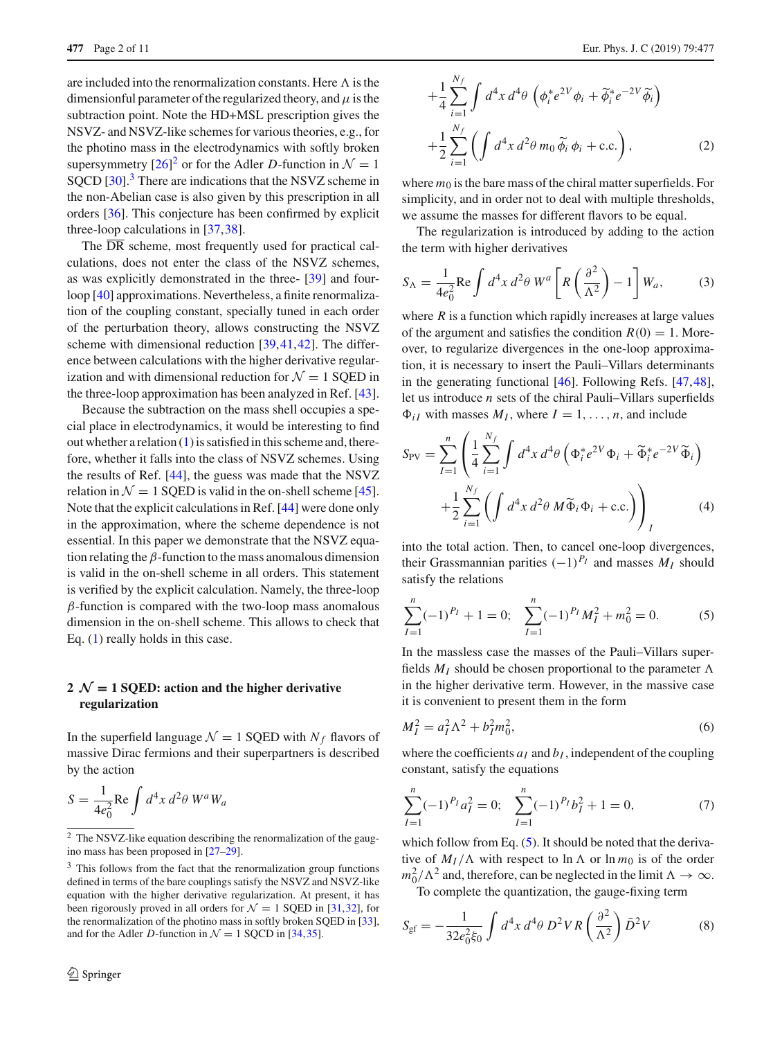are included into the renormalization constants. Here  $\Lambda$  is the dimensionful parameter of the regularized theory, and  $\mu$  is the subtraction point. Note the HD+MSL prescription gives the NSVZ- and NSVZ-like schemes for various theories, e.g., for the photino mass in the electrodynamics with softly broken supersymmetry  $[26]^2$  $[26]^2$  $[26]^2$  or for the Adler *D*-function in  $\mathcal{N} = 1$ SQCD [\[30\]](#page-10-10).<sup>[3](#page-1-1)</sup> There are indications that the NSVZ scheme in the non-Abelian case is also given by this prescription in all orders [\[36](#page-10-11)]. This conjecture has been confirmed by explicit three-loop calculations in [\[37](#page-10-12)[,38](#page-10-13)].

The  $\overline{DR}$  scheme, most frequently used for practical calculations, does not enter the class of the NSVZ schemes, as was explicitly demonstrated in the three- [\[39](#page-10-14)] and fourloop [\[40\]](#page-10-15) approximations. Nevertheless, a finite renormalization of the coupling constant, specially tuned in each order of the perturbation theory, allows constructing the NSVZ scheme with dimensional reduction [\[39](#page-10-14),[41,](#page-10-16)[42\]](#page-10-17). The difference between calculations with the higher derivative regularization and with dimensional reduction for  $\mathcal{N} = 1$  SQED in the three-loop approximation has been analyzed in Ref. [\[43](#page-10-18)].

Because the subtraction on the mass shell occupies a special place in electrodynamics, it would be interesting to find out whether a relation [\(1\)](#page-0-4) is satisfied in this scheme and, therefore, whether it falls into the class of NSVZ schemes. Using the results of Ref. [\[44](#page-10-19)], the guess was made that the NSVZ relation in  $\mathcal{N} = 1$  SQED is valid in the on-shell scheme [\[45](#page-10-20)]. Note that the explicit calculations in Ref. [\[44](#page-10-19)] were done only in the approximation, where the scheme dependence is not essential. In this paper we demonstrate that the NSVZ equation relating the  $\beta$ -function to the mass anomalous dimension is valid in the on-shell scheme in all orders. This statement is verified by the explicit calculation. Namely, the three-loop  $\beta$ -function is compared with the two-loop mass anomalous dimension in the on-shell scheme. This allows to check that Eq. [\(1\)](#page-0-4) really holds in this case.

# **2**  $\mathcal{N} = 1$  **SQED:** action and the higher derivative **regularization**

In the superfield language  $\mathcal{N} = 1$  SQED with  $N_f$  flavors of massive Dirac fermions and their superpartners is described by the action

$$
S = \frac{1}{4e_0^2} \text{Re} \int d^4x \, d^2\theta \, W^a W_a
$$

$$
+\frac{1}{4}\sum_{i=1}^{N_f}\int d^4x\,d^4\theta\,\left(\phi_i^*e^{2V}\phi_i+\widetilde{\phi}_i^*e^{-2V}\widetilde{\phi}_i\right) +\frac{1}{2}\sum_{i=1}^{N_f}\left(\int d^4x\,d^2\theta\,m_0\,\widetilde{\phi}_i\,\phi_i+c.c.\right),
$$
 (2)

where  $m_0$  is the bare mass of the chiral matter superfields. For simplicity, and in order not to deal with multiple thresholds, we assume the masses for different flavors to be equal.

The regularization is introduced by adding to the action the term with higher derivatives

$$
S_{\Lambda} = \frac{1}{4e_0^2} \text{Re} \int d^4x \, d^2\theta \, W^a \left[ R \left( \frac{\partial^2}{\Lambda^2} \right) - 1 \right] W_a, \tag{3}
$$

where  $R$  is a function which rapidly increases at large values of the argument and satisfies the condition  $R(0) = 1$ . Moreover, to regularize divergences in the one-loop approximation, it is necessary to insert the Pauli–Villars determinants in the generating functional [\[46\]](#page-10-28). Following Refs. [\[47](#page-10-29)[,48](#page-10-30)], let us introduce *n* sets of the chiral Pauli–Villars superfields  $\Phi_{iI}$  with masses  $M_I$ , where  $I = 1, \ldots, n$ , and include

$$
S_{\text{PV}} = \sum_{I=1}^{n} \left( \frac{1}{4} \sum_{i=1}^{N_f} \int d^4x \, d^4\theta \left( \Phi_i^* e^{2V} \Phi_i + \widetilde{\Phi}_i^* e^{-2V} \widetilde{\Phi}_i \right) + \frac{1}{2} \sum_{i=1}^{N_f} \left( \int d^4x \, d^2\theta \, M \widetilde{\Phi}_i \Phi_i + \text{c.c.} \right) \right)_I \tag{4}
$$

into the total action. Then, to cancel one-loop divergences, their Grassmannian parities  $(-1)^{P_I}$  and masses  $M_I$  should satisfy the relations

<span id="page-1-2"></span>
$$
\sum_{I=1}^{n} (-1)^{P_I} + 1 = 0; \quad \sum_{I=1}^{n} (-1)^{P_I} M_I^2 + m_0^2 = 0.
$$
 (5)

In the massless case the masses of the Pauli–Villars superfields  $M_I$  should be chosen proportional to the parameter  $\Lambda$ in the higher derivative term. However, in the massive case it is convenient to present them in the form

$$
M_I^2 = a_I^2 \Lambda^2 + b_I^2 m_0^2,
$$
\t(6)

where the coefficients  $a_I$  and  $b_I$ , independent of the coupling constant, satisfy the equations

$$
\sum_{I=1}^{n} (-1)^{P_I} a_I^2 = 0; \quad \sum_{I=1}^{n} (-1)^{P_I} b_I^2 + 1 = 0,\tag{7}
$$

which follow from Eq.  $(5)$ . It should be noted that the derivative of  $M_I/\Lambda$  with respect to  $\ln \Lambda$  or  $\ln m_0$  is of the order  $m_0^2/\Lambda^2$  and, therefore, can be neglected in the limit  $\Lambda \to \infty$ .

To complete the quantization, the gauge-fixing term

$$
S_{\rm gf} = -\frac{1}{32e_0^2\xi_0} \int d^4x \, d^4\theta \, D^2VR\left(\frac{\partial^2}{\Lambda^2}\right) \bar{D}^2V \tag{8}
$$

<span id="page-1-0"></span> $\frac{2}{2}$  The NSVZ-like equation describing the renormalization of the gaugino mass has been proposed in [\[27](#page-10-21)[–29](#page-10-22)].

<span id="page-1-1"></span><sup>&</sup>lt;sup>3</sup> This follows from the fact that the renormalization group functions defined in terms of the bare couplings satisfy the NSVZ and NSVZ-like equation with the higher derivative regularization. At present, it has been rigorously proved in all orders for  $\mathcal{N} = 1$  SQED in [\[31](#page-10-23)[,32\]](#page-10-24), for the renormalization of the photino mass in softly broken SQED in [\[33](#page-10-25)], and for the Adler *D*-function in  $\mathcal{N} = 1$  SOCD in [\[34](#page-10-26)[,35\]](#page-10-27).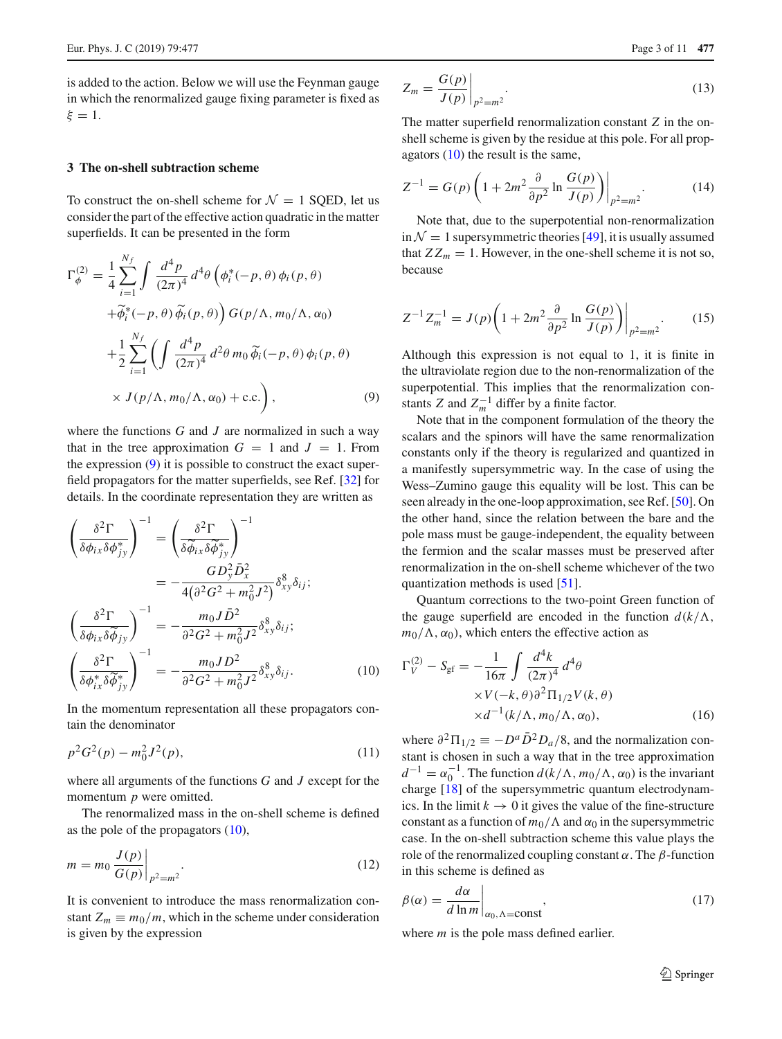is added to the action. Below we will use the Feynman gauge in which the renormalized gauge fixing parameter is fixed as  $\xi = 1$ .

## **3 The on-shell subtraction scheme**

To construct the on-shell scheme for  $\mathcal{N} = 1$  SQED, let us consider the part of the effective action quadratic in the matter superfields. It can be presented in the form

<span id="page-2-0"></span>
$$
\Gamma_{\phi}^{(2)} = \frac{1}{4} \sum_{i=1}^{N_f} \int \frac{d^4 p}{(2\pi)^4} d^4 \theta \left( \phi_i^*(-p, \theta) \phi_i(p, \theta) \right. \left. + \widetilde{\phi}_i^*(-p, \theta) \widetilde{\phi}_i(p, \theta) \right) G(p/\Lambda, m_0/\Lambda, \alpha_0) \left. + \frac{1}{2} \sum_{i=1}^{N_f} \left( \int \frac{d^4 p}{(2\pi)^4} d^2 \theta m_0 \widetilde{\phi}_i(-p, \theta) \phi_i(p, \theta) \right. \left. \times J(p/\Lambda, m_0/\Lambda, \alpha_0) + \text{c.c.} \right),
$$
\n(9)

where the functions *G* and *J* are normalized in such a way that in the tree approximation  $G = 1$  and  $J = 1$ . From the expression [\(9\)](#page-2-0) it is possible to construct the exact superfield propagators for the matter superfields, see Ref. [\[32\]](#page-10-24) for details. In the coordinate representation they are written as

<span id="page-2-1"></span>
$$
\left(\frac{\delta^2 \Gamma}{\delta \phi_{ix} \delta \phi_{jy}^*}\right)^{-1} = \left(\frac{\delta^2 \Gamma}{\delta \widetilde{\phi}_{ix} \delta \widetilde{\phi}_{jy}^*}\right)^{-1} \n= -\frac{GD_y^2 \bar{D}_x^2}{4(\delta^2 G^2 + m_0^2 J^2)} \delta_{xy}^8 \delta_{ij}; \n\left(\frac{\delta^2 \Gamma}{\delta \phi_{ix} \delta \widetilde{\phi}_{jy}}\right)^{-1} = -\frac{m_0 J \bar{D}^2}{\delta^2 G^2 + m_0^2 J^2} \delta_{xy}^8 \delta_{ij}; \n\left(\frac{\delta^2 \Gamma}{\delta \phi_{ix}^* \delta \widetilde{\phi}_{jy}^*}\right)^{-1} = -\frac{m_0 J D^2}{\delta^2 G^2 + m_0^2 J^2} \delta_{xy}^8 \delta_{ij}.
$$
\n(10)

In the momentum representation all these propagators contain the denominator

$$
p^2 G^2(p) - m_0^2 J^2(p),\tag{11}
$$

where all arguments of the functions *G* and *J* except for the momentum *p* were omitted.

The renormalized mass in the on-shell scheme is defined as the pole of the propagators [\(10\)](#page-2-1),

$$
m = m_0 \frac{J(p)}{G(p)} \bigg|_{p^2 = m^2}.
$$
 (12)

It is convenient to introduce the mass renormalization constant  $Z_m \equiv m_0/m$ , which in the scheme under consideration is given by the expression

$$
Z_m = \frac{G(p)}{J(p)}\bigg|_{p^2 = m^2}.\tag{13}
$$

The matter superfield renormalization constant *Z* in the onshell scheme is given by the residue at this pole. For all propagators [\(10\)](#page-2-1) the result is the same,

$$
Z^{-1} = G(p) \left( 1 + 2m^2 \frac{\partial}{\partial p^2} \ln \frac{G(p)}{J(p)} \right) \Big|_{p^2 = m^2}.
$$
 (14)

Note that, due to the superpotential non-renormalization  $\text{in } \mathcal{N} = 1$  supersymmetric theories [\[49\]](#page-10-31), it is usually assumed that  $ZZ_m = 1$ . However, in the one-shell scheme it is not so, because

$$
Z^{-1}Z_m^{-1} = J(p)\bigg(1 + 2m^2 \frac{\partial}{\partial p^2} \ln \frac{G(p)}{J(p)}\bigg)\bigg|_{p^2 = m^2}.
$$
 (15)

Although this expression is not equal to 1, it is finite in the ultraviolate region due to the non-renormalization of the superpotential. This implies that the renormalization constants *Z* and  $Z_m^{-1}$  differ by a finite factor.

Note that in the component formulation of the theory the scalars and the spinors will have the same renormalization constants only if the theory is regularized and quantized in a manifestly supersymmetric way. In the case of using the Wess–Zumino gauge this equality will be lost. This can be seen already in the one-loop approximation, see Ref. [\[50\]](#page-10-32). On the other hand, since the relation between the bare and the pole mass must be gauge-independent, the equality between the fermion and the scalar masses must be preserved after renormalization in the on-shell scheme whichever of the two quantization methods is used [\[51](#page-10-33)].

Quantum corrections to the two-point Green function of the gauge superfield are encoded in the function  $d(k/\Lambda)$ ,  $m_0/\Lambda$ ,  $\alpha_0$ ), which enters the effective action as

$$
\Gamma_V^{(2)} - S_{\text{gf}} = -\frac{1}{16\pi} \int \frac{d^4 k}{(2\pi)^4} d^4 \theta
$$
  
×V(-k, θ)∂<sup>2</sup>Π<sub>1/2</sub>V(k, θ)  
×d<sup>-1</sup>(k/Λ, m<sub>0</sub>/Λ, α<sub>0</sub>), (16)

where  $\partial^2 \Pi_{1/2} \equiv -D^a \bar{D}^2 D_a/8$ , and the normalization constant is chosen in such a way that in the tree approximation  $d^{-1} = \alpha_0^{-1}$ . The function  $d(k/\Lambda, m_0/\Lambda, \alpha_0)$  is the invariant charge [\[18\]](#page-10-2) of the supersymmetric quantum electrodynamics. In the limit  $k \to 0$  it gives the value of the fine-structure constant as a function of  $m_0/\Lambda$  and  $\alpha_0$  in the supersymmetric case. In the on-shell subtraction scheme this value plays the role of the renormalized coupling constant  $\alpha$ . The  $\beta$ -function in this scheme is defined as

$$
\beta(\alpha) = \frac{d\alpha}{d\ln m}\Big|_{\alpha_0, \Lambda = \text{const}},\tag{17}
$$

where *m* is the pole mass defined earlier.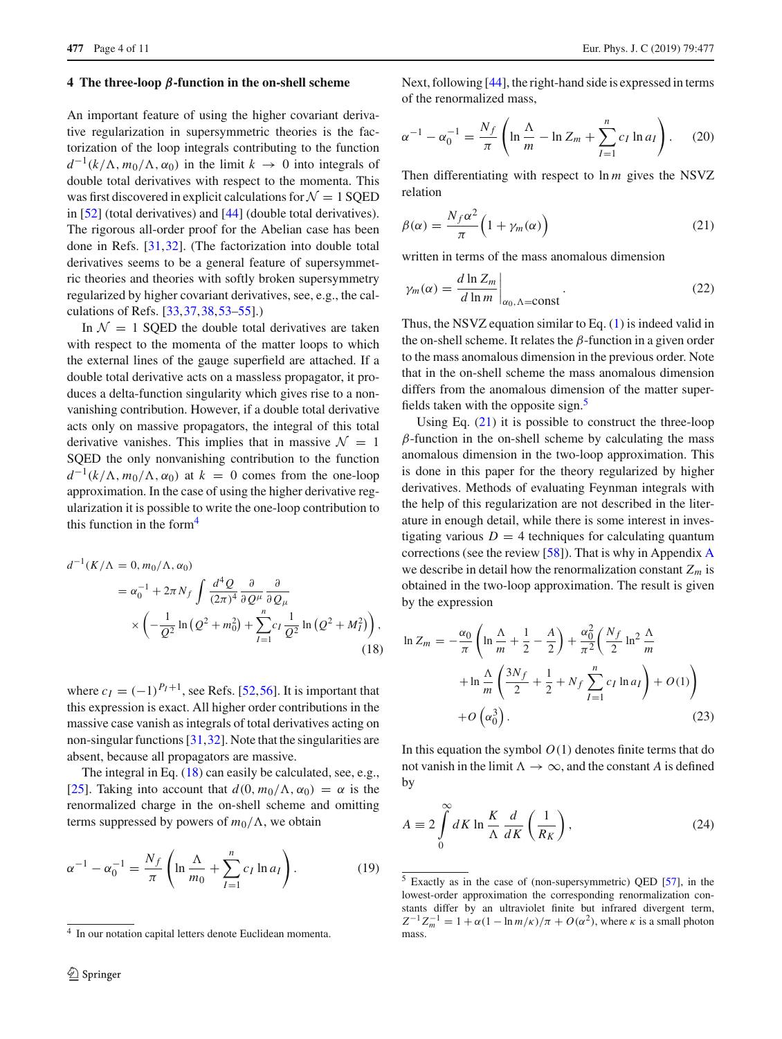#### **4 The three-loop** *β***-function in the on-shell scheme**

An important feature of using the higher covariant derivative regularization in supersymmetric theories is the factorization of the loop integrals contributing to the function  $d^{-1}(k/\Lambda, m_0/\Lambda, \alpha_0)$  in the limit  $k \to 0$  into integrals of double total derivatives with respect to the momenta. This was first discovered in explicit calculations for  $\mathcal{N} = 1$  SQED in [\[52](#page-10-34)] (total derivatives) and [\[44\]](#page-10-19) (double total derivatives). The rigorous all-order proof for the Abelian case has been done in Refs. [\[31](#page-10-23)[,32](#page-10-24)]. (The factorization into double total derivatives seems to be a general feature of supersymmetric theories and theories with softly broken supersymmetry regularized by higher covariant derivatives, see, e.g., the calculations of Refs. [\[33](#page-10-25)[,37](#page-10-12)[,38](#page-10-13),[53](#page-10-35)[–55](#page-10-36)].)

In  $\mathcal{N} = 1$  SQED the double total derivatives are taken with respect to the momenta of the matter loops to which the external lines of the gauge superfield are attached. If a double total derivative acts on a massless propagator, it produces a delta-function singularity which gives rise to a nonvanishing contribution. However, if a double total derivative acts only on massive propagators, the integral of this total derivative vanishes. This implies that in massive  $\mathcal{N} = 1$ SQED the only nonvanishing contribution to the function  $d^{-1}(k/\Lambda, m_0/\Lambda, \alpha_0)$  at  $k = 0$  comes from the one-loop approximation. In the case of using the higher derivative regularization it is possible to write the one-loop contribution to this function in the form $4$ 

<span id="page-3-1"></span>
$$
d^{-1}(K/\Lambda = 0, m_0/\Lambda, \alpha_0)
$$
  
=  $\alpha_0^{-1} + 2\pi N_f \int \frac{d^4 Q}{(2\pi)^4} \frac{\partial}{\partial Q^\mu} \frac{\partial}{\partial Q_\mu}$   
 $\times \left( -\frac{1}{Q^2} \ln (Q^2 + m_0^2) + \sum_{I=1}^n c_I \frac{1}{Q^2} \ln (Q^2 + M_I^2) \right),$  (18)

where  $c_I = (-1)^{P_I+1}$ , see Refs. [\[52,](#page-10-34)[56\]](#page-10-37). It is important that this expression is exact. All higher order contributions in the massive case vanish as integrals of total derivatives acting on non-singular functions [\[31](#page-10-23)[,32](#page-10-24)]. Note that the singularities are absent, because all propagators are massive.

The integral in Eq. [\(18\)](#page-3-1) can easily be calculated, see, e.g., [\[25](#page-10-8)]. Taking into account that  $d(0, m_0/\Lambda, \alpha_0) = \alpha$  is the renormalized charge in the on-shell scheme and omitting terms suppressed by powers of  $m_0/\Lambda$ , we obtain

$$
\alpha^{-1} - \alpha_0^{-1} = \frac{N_f}{\pi} \left( \ln \frac{\Lambda}{m_0} + \sum_{I=1}^n c_I \ln a_I \right). \tag{19}
$$

Next, following [\[44\]](#page-10-19), the right-hand side is expressed in terms of the renormalized mass,

<span id="page-3-5"></span>
$$
\alpha^{-1} - \alpha_0^{-1} = \frac{N_f}{\pi} \left( \ln \frac{\Lambda}{m} - \ln Z_m + \sum_{I=1}^n c_I \ln a_I \right). \tag{20}
$$

Then differentiating with respect to ln *m* gives the NSVZ relation

<span id="page-3-3"></span>
$$
\beta(\alpha) = \frac{N_f \alpha^2}{\pi} \left( 1 + \gamma_m(\alpha) \right) \tag{21}
$$

written in terms of the mass anomalous dimension

$$
\gamma_m(\alpha) = \frac{d \ln Z_m}{d \ln m} \bigg|_{\alpha_0, \Lambda = \text{const}}.
$$
\n(22)

Thus, the NSVZ equation similar to Eq. [\(1\)](#page-0-4) is indeed valid in the on-shell scheme. It relates the  $\beta$ -function in a given order to the mass anomalous dimension in the previous order. Note that in the on-shell scheme the mass anomalous dimension differs from the anomalous dimension of the matter superfields taken with the opposite sign. $\frac{5}{5}$  $\frac{5}{5}$  $\frac{5}{5}$ 

Using Eq.  $(21)$  it is possible to construct the three-loop  $\beta$ -function in the on-shell scheme by calculating the mass anomalous dimension in the two-loop approximation. This is done in this paper for the theory regularized by higher derivatives. Methods of evaluating Feynman integrals with the help of this regularization are not described in the literature in enough detail, while there is some interest in investigating various  $D = 4$  techniques for calculating quantum corrections (see the review [\[58\]](#page-10-38)). That is why in Appendix [A](#page-0-5) we describe in detail how the renormalization constant  $Z_m$  is obtained in the two-loop approximation. The result is given by the expression

<span id="page-3-4"></span>
$$
\ln Z_m = -\frac{\alpha_0}{\pi} \left( \ln \frac{\Lambda}{m} + \frac{1}{2} - \frac{A}{2} \right) + \frac{\alpha_0^2}{\pi^2} \left( \frac{N_f}{2} \ln^2 \frac{\Lambda}{m} + \ln \frac{\Lambda}{m} \left( \frac{3N_f}{2} + \frac{1}{2} + N_f \sum_{I=1}^n c_I \ln a_I \right) + O(1) \right)
$$
  
+  $O\left(\alpha_0^3\right).$  (23)

In this equation the symbol  $O(1)$  denotes finite terms that do not vanish in the limit  $\Lambda \to \infty$ , and the constant *A* is defined by

<span id="page-3-6"></span>
$$
A \equiv 2 \int_{0}^{\infty} dK \ln \frac{K}{\Lambda} \frac{d}{dK} \left( \frac{1}{R_K} \right),
$$
 (24)

<span id="page-3-0"></span><sup>4</sup> In our notation capital letters denote Euclidean momenta.

<span id="page-3-2"></span><sup>5</sup> Exactly as in the case of (non-supersymmetric) QED [\[57\]](#page-10-39), in the lowest-order approximation the corresponding renormalization constants differ by an ultraviolet finite but infrared divergent term,  $Z^{-1}Z_m^{-1} = 1 + \alpha(1 - \ln m/\kappa)/\pi + O(\alpha^2)$ , where *κ* is a small photon mass.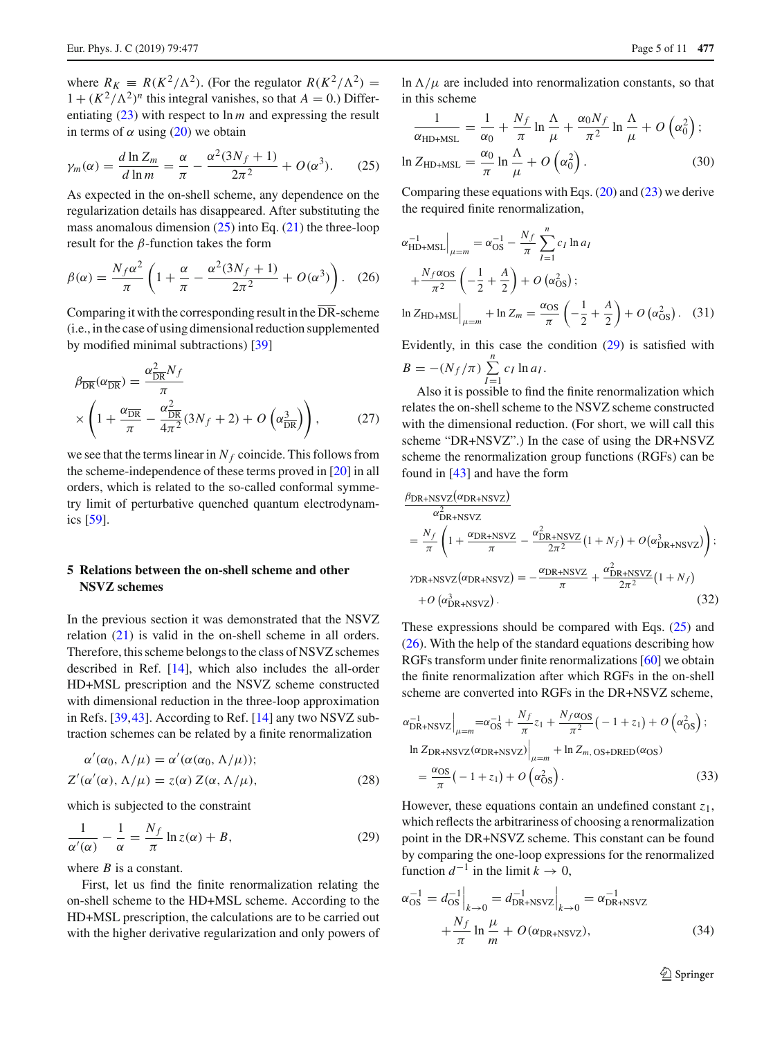where  $R_K = R(K^2/\Lambda^2)$ . (For the regulator  $R(K^2/\Lambda^2)$  =  $1 + (K^2/\Lambda^2)^n$  this integral vanishes, so that  $A = 0$ .) Differentiating [\(23\)](#page-3-4) with respect to ln *m* and expressing the result in terms of  $\alpha$  using [\(20\)](#page-3-5) we obtain

<span id="page-4-0"></span>
$$
\gamma_m(\alpha) = \frac{d \ln Z_m}{d \ln m} = \frac{\alpha}{\pi} - \frac{\alpha^2 (3N_f + 1)}{2\pi^2} + O(\alpha^3). \tag{25}
$$

As expected in the on-shell scheme, any dependence on the regularization details has disappeared. After substituting the mass anomalous dimension  $(25)$  into Eq.  $(21)$  the three-loop result for the  $\beta$ -function takes the form

<span id="page-4-2"></span>
$$
\beta(\alpha) = \frac{N_f \alpha^2}{\pi} \left( 1 + \frac{\alpha}{\pi} - \frac{\alpha^2 (3N_f + 1)}{2\pi^2} + O(\alpha^3) \right). \tag{26}
$$

Comparing it with the corresponding result in the  $\overline{DR}$ -scheme (i.e., in the case of using dimensional reduction supplemented by modified minimal subtractions) [\[39](#page-10-14)]

$$
\beta_{\overline{\rm DR}}(\alpha_{\overline{\rm DR}}) = \frac{\alpha_{\overline{\rm DR}}^2 N_f}{\pi} \times \left(1 + \frac{\alpha_{\overline{\rm DR}}}{\pi} - \frac{\alpha_{\overline{\rm DR}}^2}{4\pi^2} (3N_f + 2) + O\left(\alpha_{\overline{\rm DR}}^3\right)\right),\tag{27}
$$

we see that the terms linear in  $N_f$  coincide. This follows from the scheme-independence of these terms proved in [\[20](#page-10-4)] in all orders, which is related to the so-called conformal symmetry limit of perturbative quenched quantum electrodynamics [\[59\]](#page-10-40).

# **5 Relations between the on-shell scheme and other NSVZ schemes**

In the previous section it was demonstrated that the NSVZ relation [\(21\)](#page-3-3) is valid in the on-shell scheme in all orders. Therefore, this scheme belongs to the class of NSVZ schemes described in Ref. [\[14\]](#page-10-0), which also includes the all-order HD+MSL prescription and the NSVZ scheme constructed with dimensional reduction in the three-loop approximation in Refs. [\[39](#page-10-14)[,43](#page-10-18)]. According to Ref. [\[14\]](#page-10-0) any two NSVZ subtraction schemes can be related by a finite renormalization

$$
\alpha'(\alpha_0, \Lambda/\mu) = \alpha'(\alpha(\alpha_0, \Lambda/\mu));
$$
  
\n
$$
Z'(\alpha'(\alpha), \Lambda/\mu) = z(\alpha) Z(\alpha, \Lambda/\mu),
$$
\n(28)

which is subjected to the constraint

<span id="page-4-1"></span>
$$
\frac{1}{\alpha'(\alpha)} - \frac{1}{\alpha} = \frac{N_f}{\pi} \ln z(\alpha) + B,\tag{29}
$$

where *B* is a constant.

First, let us find the finite renormalization relating the on-shell scheme to the HD+MSL scheme. According to the HD+MSL prescription, the calculations are to be carried out with the higher derivative regularization and only powers of ln  $\Lambda/\mu$  are included into renormalization constants, so that in this scheme

$$
\frac{1}{\alpha_{\text{HD+MSL}}} = \frac{1}{\alpha_0} + \frac{N_f}{\pi} \ln \frac{\Lambda}{\mu} + \frac{\alpha_0 N_f}{\pi^2} \ln \frac{\Lambda}{\mu} + O\left(\alpha_0^2\right);
$$
  

$$
\ln Z_{\text{HD+MSL}} = \frac{\alpha_0}{\pi} \ln \frac{\Lambda}{\mu} + O\left(\alpha_0^2\right).
$$
 (30)

Comparing these equations with Eqs.  $(20)$  and  $(23)$  we derive the required finite renormalization,

$$
\alpha_{\text{HD+MSL}}^{-1}\Big|_{\mu=m} = \alpha_{\text{OS}}^{-1} - \frac{N_f}{\pi} \sum_{I=1}^{n} c_I \ln a_I
$$
  
+ 
$$
\frac{N_f \alpha_{\text{OS}}}{\pi^2} \left( -\frac{1}{2} + \frac{A}{2} \right) + O \left( \alpha_{\text{OS}}^2 \right);
$$
  

$$
\ln Z_{\text{HD+MSL}} \Big|_{\mu=m} + \ln Z_m = \frac{\alpha_{\text{OS}}}{\pi} \left( -\frac{1}{2} + \frac{A}{2} \right) + O \left( \alpha_{\text{OS}}^2 \right). \quad (31)
$$

Evidently, in this case the condition [\(29\)](#page-4-1) is satisfied with  $B = -(N_f/\pi) \sum_{r=0}^{n}$ *cI* ln *aI* .

 $I=1$ Also it is possible to find the finite renormalization which relates the on-shell scheme to the NSVZ scheme constructed with the dimensional reduction. (For short, we will call this scheme "DR+NSVZ".) In the case of using the DR+NSVZ scheme the renormalization group functions (RGFs) can be found in [\[43](#page-10-18)] and have the form

$$
\frac{\beta_{\text{DR}+\text{NSVZ}}(\alpha_{\text{DR}+\text{NSVZ}})}{\alpha_{\text{DR}+\text{NSVZ}}^2} = \frac{N_f}{\pi} \left( 1 + \frac{\alpha_{\text{DR}+\text{NSVZ}}}{\pi} - \frac{\alpha_{\text{DR}+\text{NSVZ}}^2}{2\pi^2} (1 + N_f) + O(\alpha_{\text{DR}+\text{NSVZ}}^3) \right);
$$
\n
$$
\gamma_{\text{DR}+\text{NSVZ}}(\alpha_{\text{DR}+\text{NSVZ}}) = -\frac{\alpha_{\text{DR}+\text{NSVZ}}}{\pi} + \frac{\alpha_{\text{DR}+\text{NSVZ}}^2}{2\pi^2} (1 + N_f) + O(\alpha_{\text{DR}+\text{NSVZ}}^3).
$$
\n(32)

These expressions should be compared with Eqs. [\(25\)](#page-4-0) and [\(26\)](#page-4-2). With the help of the standard equations describing how RGFs transform under finite renormalizations [\[60\]](#page-10-41) we obtain the finite renormalization after which RGFs in the on-shell scheme are converted into RGFs in the DR+NSVZ scheme,

$$
\alpha_{\text{DR}+\text{NSVZ}}^{-1}\Big|_{\mu=m} = \alpha_{\text{OS}}^{-1} + \frac{N_f}{\pi}z_1 + \frac{N_f \alpha_{\text{OS}}}{\pi^2}(-1+z_1) + O\left(\alpha_{\text{OS}}^2\right);
$$
  
\n
$$
\ln Z_{\text{DR}+\text{NSVZ}}(\alpha_{\text{DR}+\text{NSVZ}})\Big|_{\mu=m} + \ln Z_{m,\text{OS}+\text{DRED}}(\alpha_{\text{OS}})
$$
  
\n
$$
= \frac{\alpha_{\text{OS}}}{\pi}(-1+z_1) + O\left(\alpha_{\text{OS}}^2\right).
$$
 (33)

However, these equations contain an undefined constant *z*1, which reflects the arbitrariness of choosing a renormalization point in the DR+NSVZ scheme. This constant can be found by comparing the one-loop expressions for the renormalized function  $d^{-1}$  in the limit  $k \to 0$ ,

$$
\alpha_{\text{OS}}^{-1} = d_{\text{OS}}^{-1} \Big|_{k \to 0} = d_{\text{DR+NSVZ}}^{-1} \Big|_{k \to 0} = \alpha_{\text{DR+NSVZ}}^{-1}
$$

$$
+ \frac{N_f}{\pi} \ln \frac{\mu}{m} + O(\alpha_{\text{DR+NSVZ}}), \tag{34}
$$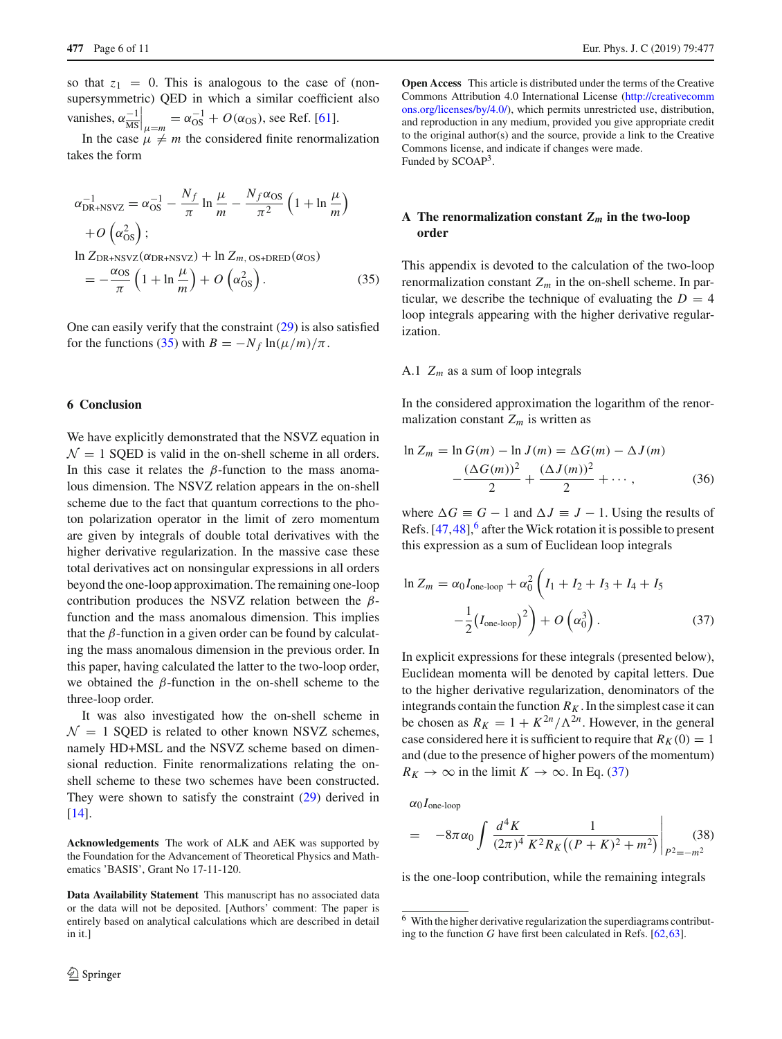so that  $z_1 = 0$ . This is analogous to the case of (nonsupersymmetric) QED in which a similar coefficient also vanishes,  $\alpha \frac{-1}{\text{MS}}\Big|_{\mu=m} = \alpha_{\text{OS}}^{-1} + O(\alpha_{\text{OS}})$ , see Ref. [\[61\]](#page-10-42).

In the case  $\mu \neq m$  the considered finite renormalization takes the form

<span id="page-5-0"></span>
$$
\alpha_{\text{DR}+\text{NSVZ}}^{-1} = \alpha_{\text{OS}}^{-1} - \frac{N_f}{\pi} \ln \frac{\mu}{m} - \frac{N_f \alpha_{\text{OS}}}{\pi^2} \left( 1 + \ln \frac{\mu}{m} \right)
$$
  
+  $O\left(\alpha_{\text{OS}}^2\right);$   

$$
\ln Z_{\text{DR}+\text{NSVZ}}(\alpha_{\text{DR}+\text{NSVZ}}) + \ln Z_{m,\text{OS}+\text{DRED}}(\alpha_{\text{OS}})
$$
  
=  $-\frac{\alpha_{\text{OS}}}{\pi} \left( 1 + \ln \frac{\mu}{m} \right) + O\left(\alpha_{\text{OS}}^2\right).$  (35)

One can easily verify that the constraint [\(29\)](#page-4-1) is also satisfied for the functions [\(35\)](#page-5-0) with  $B = -N_f \ln(\mu/m)/\pi$ .

#### **6 Conclusion**

We have explicitly demonstrated that the NSVZ equation in  $\mathcal{N} = 1$  SOED is valid in the on-shell scheme in all orders. In this case it relates the  $\beta$ -function to the mass anomalous dimension. The NSVZ relation appears in the on-shell scheme due to the fact that quantum corrections to the photon polarization operator in the limit of zero momentum are given by integrals of double total derivatives with the higher derivative regularization. In the massive case these total derivatives act on nonsingular expressions in all orders beyond the one-loop approximation. The remaining one-loop contribution produces the NSVZ relation between the  $\beta$ function and the mass anomalous dimension. This implies that the  $\beta$ -function in a given order can be found by calculating the mass anomalous dimension in the previous order. In this paper, having calculated the latter to the two-loop order, we obtained the  $\beta$ -function in the on-shell scheme to the three-loop order.

It was also investigated how the on-shell scheme in  $\mathcal{N} = 1$  SQED is related to other known NSVZ schemes, namely HD+MSL and the NSVZ scheme based on dimensional reduction. Finite renormalizations relating the onshell scheme to these two schemes have been constructed. They were shown to satisfy the constraint [\(29\)](#page-4-1) derived in [\[14](#page-10-0)].

**Acknowledgements** The work of ALK and AEK was supported by the Foundation for the Advancement of Theoretical Physics and Mathematics 'BASIS', Grant No 17-11-120.

**Data Availability Statement** This manuscript has no associated data or the data will not be deposited. [Authors' comment: The paper is entirely based on analytical calculations which are described in detail in it.]

**Open Access** This article is distributed under the terms of the Creative Commons Attribution 4.0 International License [\(http://creativecomm](http://creativecommons.org/licenses/by/4.0/) [ons.org/licenses/by/4.0/\)](http://creativecommons.org/licenses/by/4.0/), which permits unrestricted use, distribution, and reproduction in any medium, provided you give appropriate credit to the original author(s) and the source, provide a link to the Creative Commons license, and indicate if changes were made. Funded by SCOAP<sup>3</sup>.

# A The renormalization constant  $Z_m$  in the two-loop **order**

This appendix is devoted to the calculation of the two-loop renormalization constant  $Z_m$  in the on-shell scheme. In particular, we describe the technique of evaluating the  $D = 4$ loop integrals appearing with the higher derivative regularization.

## A.1 *Zm* as a sum of loop integrals

In the considered approximation the logarithm of the renormalization constant  $Z_m$  is written as

$$
\ln Z_m = \ln G(m) - \ln J(m) = \Delta G(m) - \Delta J(m) - \frac{(\Delta G(m))^2}{2} + \frac{(\Delta J(m))^2}{2} + \cdots,
$$
 (36)

where  $\Delta G \equiv G - 1$  and  $\Delta J \equiv J - 1$ . Using the results of Refs.  $[47, 48]$  $[47, 48]$ ,  $6$  after the Wick rotation it is possible to present this expression as a sum of Euclidean loop integrals

<span id="page-5-2"></span>
$$
\ln Z_m = \alpha_0 I_{\text{one-loop}} + \alpha_0^2 \left( I_1 + I_2 + I_3 + I_4 + I_5 - \frac{1}{2} (I_{\text{one-loop}})^2 \right) + O\left(\alpha_0^3\right). \tag{37}
$$

In explicit expressions for these integrals (presented below), Euclidean momenta will be denoted by capital letters. Due to the higher derivative regularization, denominators of the integrands contain the function  $R_K$ . In the simplest case it can be chosen as  $R_K = 1 + K^{2n}/\Lambda^{2n}$ . However, in the general case considered here it is sufficient to require that  $R_K(0) = 1$ and (due to the presence of higher powers of the momentum)  $R_K \to \infty$  in the limit  $K \to \infty$ . In Eq. [\(37\)](#page-5-2)

 $\alpha_0 I_{\text{one-loop}}$ 

$$
= -8\pi\alpha_0 \int \frac{d^4 K}{(2\pi)^4} \frac{1}{K^2 R_K((P+K)^2 + m^2)} \Bigg|_{P^2 = -m^2} (38)
$$

is the one-loop contribution, while the remaining integrals

<span id="page-5-1"></span><sup>6</sup> With the higher derivative regularization the superdiagrams contributing to the function *G* have first been calculated in Refs. [\[62](#page-10-43)[,63](#page-10-44)].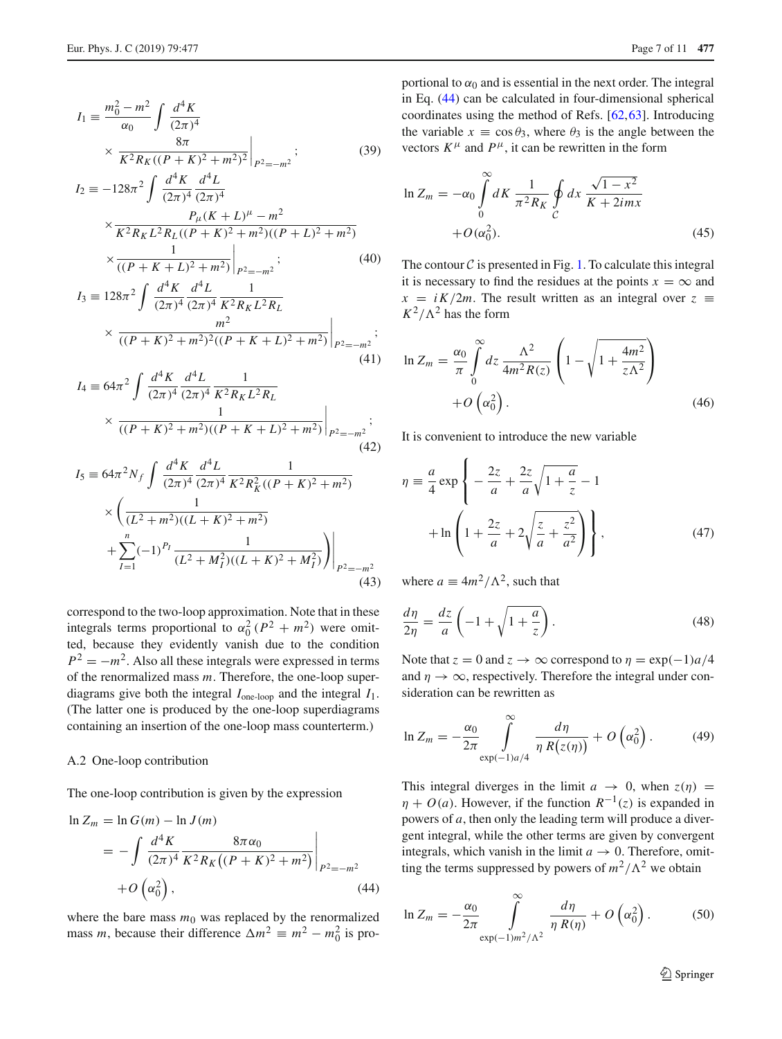$$
I_1 \equiv \frac{m_0^2 - m^2}{\alpha_0} \int \frac{d^4 K}{(2\pi)^4} \times \frac{8\pi}{K^2 R_K ((P + K)^2 + m^2)^2} \Big|_{P^2 = -m^2};
$$
(39)

$$
I_2 \equiv -128\pi^2 \int \frac{d^4 K}{(2\pi)^4} \frac{d^4 L}{(2\pi)^4}
$$
  
 
$$
\times \frac{P_\mu (K+L)^\mu - m^2}{K^2 R_K L^2 R_L ((P+K)^2 + m^2)((P+L)^2 + m^2)}
$$
  
 
$$
\times \frac{1}{((P+K+L)^2 + m^2)} \Big|_{P^2 = -m^2};
$$
 (40)

$$
I_3 \equiv 128\pi^2 \int \frac{d^4 K}{(2\pi)^4} \frac{d^4 L}{(2\pi)^4} \frac{1}{K^2 R_K L^2 R_L}
$$
  
 
$$
\times \frac{m^2}{((P+K)^2 + m^2)^2 ((P+K+L)^2 + m^2)} \Big|_{P^2 = -m^2};
$$
(41)

$$
I_4 = 64\pi^2 \int \frac{d^4 K}{(2\pi)^4} \frac{d^4 L}{(2\pi)^4} \frac{1}{K^2 R_K L^2 R_L}
$$
  
 
$$
\times \frac{1}{((P+K)^2 + m^2)((P+K+L)^2 + m^2)} \Big|_{P^2 = -m^2};
$$
(42)

$$
I_5 = 64\pi^2 N_f \int \frac{d^4 K}{(2\pi)^4} \frac{d^4 L}{(2\pi)^4} \frac{1}{K^2 R_K^2 ((P + K)^2 + m^2)} \times \left( \frac{1}{(L^2 + m^2)((L + K)^2 + m^2)} + \sum_{I=1}^n (-1)^{P_I} \frac{1}{(L^2 + M_I^2)((L + K)^2 + M_I^2)} \right) \Big|_{P^2 = -m^2} \tag{43}
$$

correspond to the two-loop approximation. Note that in these integrals terms proportional to  $\alpha_0^2 (P^2 + m^2)$  were omitted, because they evidently vanish due to the condition  $P^2 = -m^2$ . Also all these integrals were expressed in terms of the renormalized mass *m*. Therefore, the one-loop superdiagrams give both the integral  $I_{one-loop}$  and the integral  $I_1$ . (The latter one is produced by the one-loop superdiagrams containing an insertion of the one-loop mass counterterm.)

## <span id="page-6-2"></span>A.2 One-loop contribution

The one-loop contribution is given by the expression

<span id="page-6-0"></span>
$$
\ln Z_m = \ln G(m) - \ln J(m)
$$
  
=  $-\int \frac{d^4 K}{(2\pi)^4} \frac{8\pi \alpha_0}{K^2 R_K ((P+K)^2 + m^2)} \Big|_{P^2 = -m^2}$   
+  $O(\alpha_0^2)$ , (44)

where the bare mass  $m_0$  was replaced by the renormalized mass *m*, because their difference  $\Delta m^2 \equiv m^2 - m_0^2$  is pro-

portional to  $\alpha_0$  and is essential in the next order. The integral in Eq. [\(44\)](#page-6-0) can be calculated in four-dimensional spherical coordinates using the method of Refs. [\[62](#page-10-43)[,63](#page-10-44)]. Introducing the variable  $x \equiv \cos \theta_3$ , where  $\theta_3$  is the angle between the vectors  $K^{\mu}$  and  $P^{\mu}$ , it can be rewritten in the form

<span id="page-6-1"></span>
$$
\ln Z_m = -\alpha_0 \int\limits_0^\infty dK \frac{1}{\pi^2 R_K} \oint\limits_C dx \frac{\sqrt{1 - x^2}}{K + 2imx}
$$

$$
+ O(\alpha_0^2). \tag{45}
$$

The contour  $C$  is presented in Fig. [1.](#page-7-0) To calculate this integral it is necessary to find the residues at the points  $x = \infty$  and  $x = iK/2m$ . The result written as an integral over  $z \equiv$  $K^2/\Lambda^2$  has the form

$$
\ln Z_m = \frac{\alpha_0}{\pi} \int_0^\infty dz \, \frac{\Lambda^2}{4m^2 R(z)} \left( 1 - \sqrt{1 + \frac{4m^2}{z \Lambda^2}} \right) + O\left(\alpha_0^2\right). \tag{46}
$$

It is convenient to introduce the new variable

$$
\eta = \frac{a}{4} \exp \left\{ -\frac{2z}{a} + \frac{2z}{a} \sqrt{1 + \frac{a}{z}} - 1 + \ln \left( 1 + \frac{2z}{a} + 2\sqrt{\frac{z}{a} + \frac{z^2}{a^2}} \right) \right\},
$$
(47)

where  $a \equiv 4m^2/\Lambda^2$ , such that

$$
\frac{d\eta}{2\eta} = \frac{dz}{a} \left( -1 + \sqrt{1 + \frac{a}{z}} \right). \tag{48}
$$

Note that  $z = 0$  and  $z \to \infty$  correspond to  $\eta = \exp(-1)a/4$ and  $\eta \rightarrow \infty$ , respectively. Therefore the integral under consideration can be rewritten as

$$
\ln Z_m = -\frac{\alpha_0}{2\pi} \int_{\exp(-1)a/4}^{\infty} \frac{d\eta}{\eta R(z(\eta))} + O\left(\alpha_0^2\right). \tag{49}
$$

This integral diverges in the limit  $a \rightarrow 0$ , when  $z(\eta)$  =  $\eta + O(a)$ . However, if the function  $R^{-1}(z)$  is expanded in powers of *a*, then only the leading term will produce a divergent integral, while the other terms are given by convergent integrals, which vanish in the limit  $a \rightarrow 0$ . Therefore, omitting the terms suppressed by powers of  $m^2/\Lambda^2$  we obtain

$$
\ln Z_m = -\frac{\alpha_0}{2\pi} \int_{\exp(-1)m^2/\Lambda^2}^{\infty} \frac{d\eta}{\eta R(\eta)} + O\left(\alpha_0^2\right). \tag{50}
$$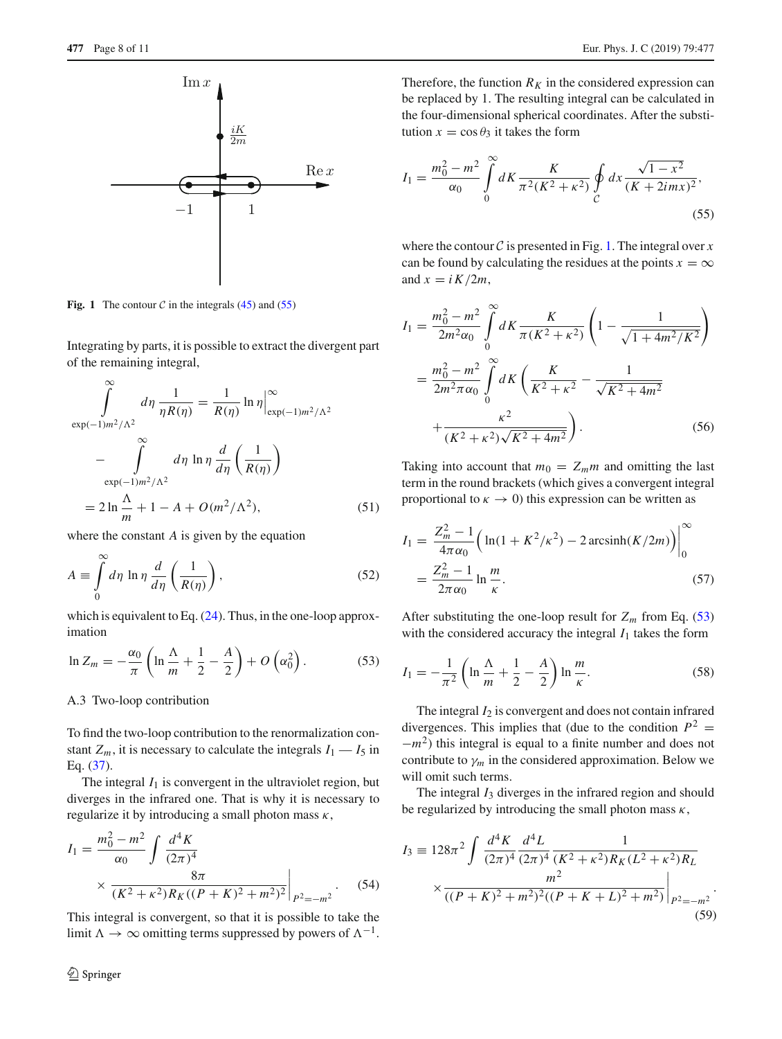

<span id="page-7-0"></span>**Fig. 1** The contour  $C$  in the integrals [\(45\)](#page-6-1) and [\(55\)](#page-7-1)

Integrating by parts, it is possible to extract the divergent part of the remaining integral,

$$
\int_{\exp(-1)m^2/\Lambda^2}^{\infty} d\eta \frac{1}{\eta R(\eta)} = \frac{1}{R(\eta)} \ln \eta \Big|_{\exp(-1)m^2/\Lambda^2}^{\infty}
$$

$$
-\int_{\exp(-1)m^2/\Lambda^2}^{\infty} d\eta \ln \eta \frac{d}{d\eta} \left(\frac{1}{R(\eta)}\right)
$$

$$
= 2 \ln \frac{\Lambda}{m} + 1 - A + O(m^2/\Lambda^2), \qquad (51)
$$

where the constant *A* is given by the equation

$$
A \equiv \int_{0}^{\infty} d\eta \ln \eta \, \frac{d}{d\eta} \left( \frac{1}{R(\eta)} \right),\tag{52}
$$

which is equivalent to Eq. [\(24\)](#page-3-6). Thus, in the one-loop approximation

<span id="page-7-2"></span>
$$
\ln Z_m = -\frac{\alpha_0}{\pi} \left( \ln \frac{\Lambda}{m} + \frac{1}{2} - \frac{A}{2} \right) + O\left(\alpha_0^2\right). \tag{53}
$$

A.3 Two-loop contribution

To find the two-loop contribution to the renormalization constant  $Z_m$ , it is necessary to calculate the integrals  $I_1 - I_5$  in Eq. [\(37\)](#page-5-2).

The integral  $I_1$  is convergent in the ultraviolet region, but diverges in the infrared one. That is why it is necessary to regularize it by introducing a small photon mass  $\kappa$ ,

$$
I_1 = \frac{m_0^2 - m^2}{\alpha_0} \int \frac{d^4 K}{(2\pi)^4}
$$
  
 
$$
\times \frac{8\pi}{(K^2 + \kappa^2)R_K((P + K)^2 + m^2)^2} \Big|_{P^2 = -m^2}.
$$
 (54)

This integral is convergent, so that it is possible to take the limit  $\Lambda \to \infty$  omitting terms suppressed by powers of  $\Lambda^{-1}$ .

Therefore, the function  $R_K$  in the considered expression can be replaced by 1. The resulting integral can be calculated in the four-dimensional spherical coordinates. After the substitution  $x = \cos \theta_3$  it takes the form

<span id="page-7-1"></span>
$$
I_1 = \frac{m_0^2 - m^2}{\alpha_0} \int_0^\infty dK \frac{K}{\pi^2 (K^2 + \kappa^2)} \oint_C dx \frac{\sqrt{1 - x^2}}{(K + 2imx)^2},\tag{55}
$$

where the contour  $C$  is presented in Fig. [1.](#page-7-0) The integral over  $x$ can be found by calculating the residues at the points  $x = \infty$ and  $x = i K/2m$ ,

$$
I_1 = \frac{m_0^2 - m^2}{2m^2 \alpha_0} \int_0^\infty dK \frac{K}{\pi (K^2 + \kappa^2)} \left( 1 - \frac{1}{\sqrt{1 + 4m^2/K^2}} \right)
$$
  
= 
$$
\frac{m_0^2 - m^2}{2m^2 \pi \alpha_0} \int_0^\infty dK \left( \frac{K}{K^2 + \kappa^2} - \frac{1}{\sqrt{K^2 + 4m^2}} \right)
$$
  
+ 
$$
\frac{\kappa^2}{(K^2 + \kappa^2)\sqrt{K^2 + 4m^2}} \right). \tag{56}
$$

Taking into account that  $m_0 = Z_m m$  and omitting the last term in the round brackets (which gives a convergent integral proportional to  $\kappa \to 0$ ) this expression can be written as

$$
I_1 = \frac{Z_m^2 - 1}{4\pi\alpha_0} \left( \ln(1 + K^2/\kappa^2) - 2\arcsin\left(K/2m\right) \right) \Big|_0^\infty
$$
  
=  $\frac{Z_m^2 - 1}{2\pi\alpha_0} \ln \frac{m}{\kappa}.$  (57)

After substituting the one-loop result for  $Z_m$  from Eq. [\(53\)](#page-7-2) with the considered accuracy the integral  $I_1$  takes the form

<span id="page-7-3"></span>
$$
I_1 = -\frac{1}{\pi^2} \left( \ln \frac{\Lambda}{m} + \frac{1}{2} - \frac{A}{2} \right) \ln \frac{m}{\kappa}.
$$
 (58)

The integral  $I_2$  is convergent and does not contain infrared divergences. This implies that (due to the condition  $P^2$  = <sup>−</sup>*m*2) this integral is equal to a finite number and does not contribute to  $\gamma_m$  in the considered approximation. Below we will omit such terms.

The integral  $I_3$  diverges in the infrared region and should be regularized by introducing the small photon mass  $\kappa$ ,

$$
I_3 \equiv 128\pi^2 \int \frac{d^4 K}{(2\pi)^4} \frac{d^4 L}{(2\pi)^4} \frac{1}{(K^2 + \kappa^2)R_K (L^2 + \kappa^2)R_L}
$$

$$
\times \frac{m^2}{((P + K)^2 + m^2)^2((P + K + L)^2 + m^2)} \Big|_{P^2 = -m^2}.
$$
(59)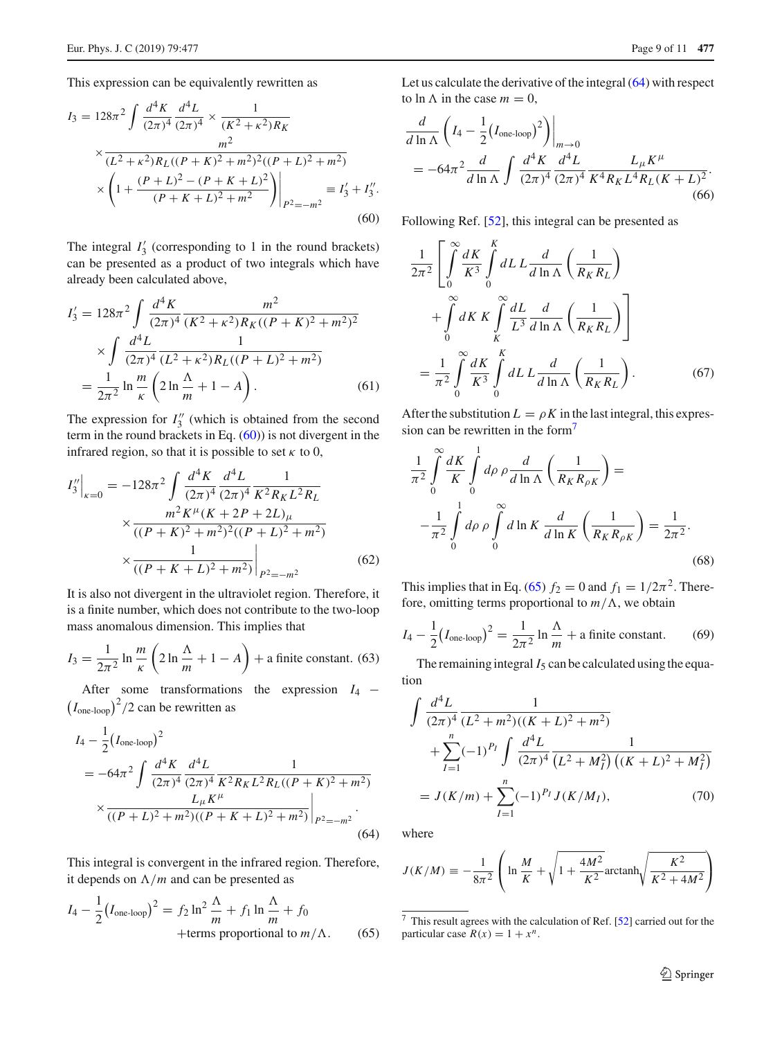This expression can be equivalently rewritten as

<span id="page-8-0"></span>
$$
I_3 = 128\pi^2 \int \frac{d^4 K}{(2\pi)^4} \frac{d^4 L}{(2\pi)^4} \times \frac{1}{(K^2 + \kappa^2)R_K}
$$
  
 
$$
\times \frac{m^2}{(L^2 + \kappa^2)R_L((P + K)^2 + m^2)^2((P + L)^2 + m^2)}
$$
  
 
$$
\times \left(1 + \frac{(P + L)^2 - (P + K + L)^2}{(P + K + L)^2 + m^2}\right)\Big|_{P^2 = -m^2} = I'_3 + I''_3.
$$
  
(60)

The integral  $I'_3$  (corresponding to 1 in the round brackets) can be presented as a product of two integrals which have already been calculated above,

$$
I_3' = 128\pi^2 \int \frac{d^4 K}{(2\pi)^4} \frac{m^2}{(K^2 + \kappa^2)R_K((P + K)^2 + m^2)^2}
$$

$$
\times \int \frac{d^4 L}{(2\pi)^4} \frac{1}{(L^2 + \kappa^2)R_L((P + L)^2 + m^2)}
$$

$$
= \frac{1}{2\pi^2} \ln \frac{m}{\kappa} \left( 2 \ln \frac{\Lambda}{m} + 1 - A \right). \tag{61}
$$

The expression for  $I_3''$  (which is obtained from the second term in the round brackets in Eq.  $(60)$ ) is not divergent in the infrared region, so that it is possible to set  $\kappa$  to 0,

$$
I_3''\Big|_{\kappa=0} = -128\pi^2 \int \frac{d^4 K}{(2\pi)^4} \frac{d^4 L}{(2\pi)^4} \frac{1}{K^2 R_K L^2 R_L}
$$

$$
\times \frac{m^2 K^\mu (K + 2P + 2L)_\mu}{((P + K)^2 + m^2)^2 ((P + L)^2 + m^2)}
$$

$$
\times \frac{1}{((P + K + L)^2 + m^2)} \Big|_{P^2 = -m^2}
$$
(62)

It is also not divergent in the ultraviolet region. Therefore, it is a finite number, which does not contribute to the two-loop mass anomalous dimension. This implies that

<span id="page-8-4"></span>
$$
I_3 = \frac{1}{2\pi^2} \ln \frac{m}{\kappa} \left( 2 \ln \frac{\Lambda}{m} + 1 - A \right) + \text{a finite constant. (63)}
$$

After some transformations the expression *I*<sup>4</sup> −  $(I_{\text{one-loop}})^2/2$  can be rewritten as

<span id="page-8-1"></span>
$$
I_4 - \frac{1}{2} (I_{\text{one-loop}})^2
$$
  
= -64 $\pi^2 \int \frac{d^4 K}{(2\pi)^4} \frac{d^4 L}{(2\pi)^4} \frac{1}{K^2 R_K L^2 R_L ((P + K)^2 + m^2)}$   

$$
\times \frac{L_\mu K^\mu}{((P + L)^2 + m^2)((P + K + L)^2 + m^2)} \Big|_{P^2 = -m^2}.
$$
(64)

This integral is convergent in the infrared region. Therefore, it depends on  $\Lambda/m$  and can be presented as

<span id="page-8-3"></span>
$$
I_4 - \frac{1}{2} (I_{\text{one-loop}})^2 = f_2 \ln^2 \frac{\Lambda}{m} + f_1 \ln \frac{\Lambda}{m} + f_0
$$
  
+terms proportional to  $m/\Lambda$ . (65)

Let us calculate the derivative of the integral  $(64)$  with respect to ln  $\Lambda$  in the case  $m = 0$ ,

$$
\frac{d}{d \ln \Lambda} \left( I_4 - \frac{1}{2} (I_{\text{one-loop}})^2 \right) \Big|_{m \to 0}
$$
  
= -64\pi^2 \frac{d}{d \ln \Lambda} \int \frac{d^4 K}{(2\pi)^4} \frac{d^4 L}{(2\pi)^4} \frac{L\_\mu K^\mu}{K^4 R\_K L^4 R\_L (K + L)^2}. (66)

Following Ref. [\[52\]](#page-10-34), this integral can be presented as

$$
\frac{1}{2\pi^2} \left[ \int_0^\infty \frac{dK}{K^3} \int_0^K dL L \frac{d}{d \ln \Lambda} \left( \frac{1}{R_K R_L} \right) \right.
$$

$$
+ \int_0^\infty dK K \int_K^\infty \frac{dL}{L^3} \frac{d}{d \ln \Lambda} \left( \frac{1}{R_K R_L} \right) \right]
$$

$$
= \frac{1}{\pi^2} \int_0^\infty \frac{dK}{K^3} \int_0^K dL L \frac{d}{d \ln \Lambda} \left( \frac{1}{R_K R_L} \right).
$$
(67)

After the substitution  $L = \rho K$  in the last integral, this expression can be rewritten in the form[7](#page-8-2)

$$
\frac{1}{\pi^2} \int_0^\infty \frac{dK}{K} \int_0^1 d\rho \, \rho \frac{d}{d \ln \Lambda} \left( \frac{1}{R_K R_{\rho K}} \right) =
$$
\n
$$
-\frac{1}{\pi^2} \int_0^1 d\rho \, \rho \int_0^\infty d \ln K \, \frac{d}{d \ln K} \left( \frac{1}{R_K R_{\rho K}} \right) = \frac{1}{2\pi^2}.
$$
\n(68)

This implies that in Eq. [\(65\)](#page-8-3)  $f_2 = 0$  and  $f_1 = 1/2\pi^2$ . Therefore, omitting terms proportional to  $m/\Lambda$ , we obtain

<span id="page-8-5"></span>
$$
I_4 - \frac{1}{2} (I_{\text{one-loop}})^2 = \frac{1}{2\pi^2} \ln \frac{\Lambda}{m} + \text{a finite constant.}
$$
 (69)

The remaining integral  $I_5$  can be calculated using the equation

$$
\int \frac{d^4 L}{(2\pi)^4} \frac{1}{(L^2 + m^2)((K + L)^2 + m^2)} + \sum_{I=1}^n (-1)^{P_I} \int \frac{d^4 L}{(2\pi)^4} \frac{1}{(L^2 + M_I^2) ((K + L)^2 + M_I^2)}
$$
  
=  $J(K/m) + \sum_{I=1}^n (-1)^{P_I} J(K/M_I),$  (70)

where

$$
J(K/M) \equiv -\frac{1}{8\pi^2} \left( \ln \frac{M}{K} + \sqrt{1 + \frac{4M^2}{K^2}} \text{arctanh} \sqrt{\frac{K^2}{K^2 + 4M^2}} \right)
$$

<span id="page-8-2"></span><sup>7</sup> This result agrees with the calculation of Ref. [\[52](#page-10-34)] carried out for the particular case  $R(x) = 1 + x^n$ .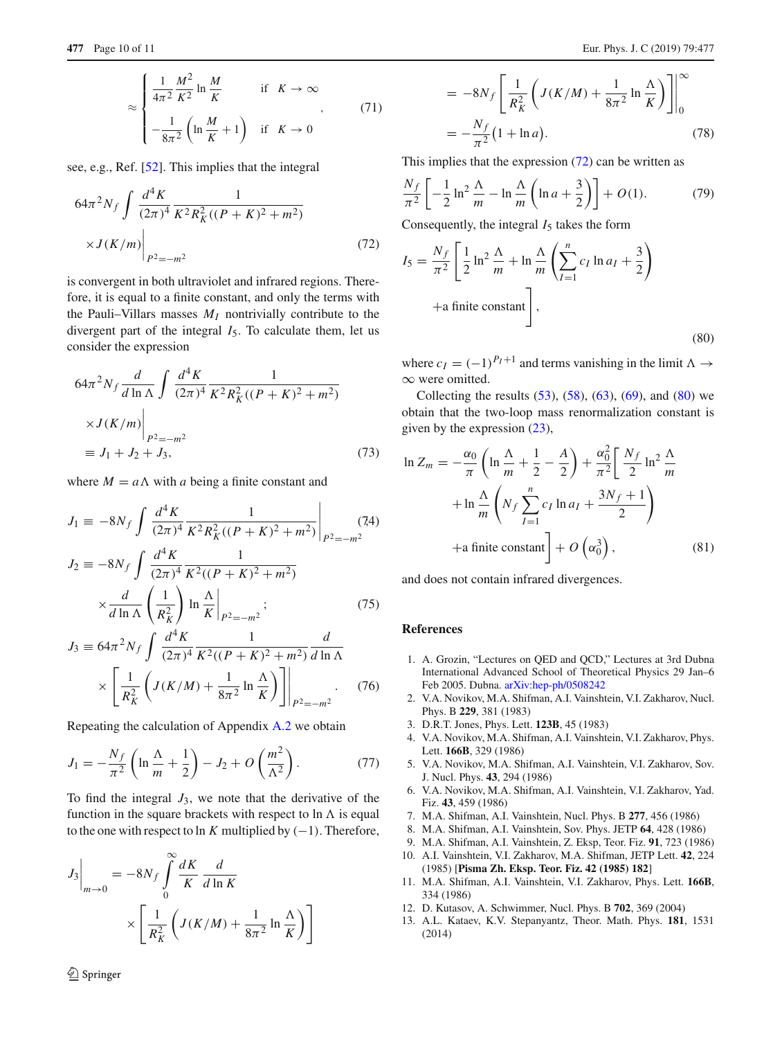$$
\approx \begin{cases} \frac{1}{4\pi^2} \frac{M^2}{K^2} \ln \frac{M}{K} & \text{if } K \to \infty \\ -\frac{1}{8\pi^2} \left( \ln \frac{M}{K} + 1 \right) & \text{if } K \to 0 \end{cases} \tag{71}
$$

see, e.g., Ref. [\[52\]](#page-10-34). This implies that the integral

<span id="page-9-7"></span>
$$
64\pi^2 N_f \int \frac{d^4 K}{(2\pi)^4} \frac{1}{K^2 R_K^2 ((P+K)^2 + m^2)}
$$
  
 
$$
\times J(K/m) \Big|_{P^2 = -m^2}
$$
 (72)

is convergent in both ultraviolet and infrared regions. Therefore, it is equal to a finite constant, and only the terms with the Pauli–Villars masses  $M_I$  nontrivially contribute to the divergent part of the integral  $I_5$ . To calculate them, let us consider the expression

$$
64\pi^2 N_f \frac{d}{d \ln \Lambda} \int \frac{d^4 K}{(2\pi)^4} \frac{1}{K^2 R_K^2 ((P+K)^2 + m^2)}
$$
  
 
$$
\times J(K/m) \Big|_{P^2 = -m^2}
$$
  
\n
$$
\equiv J_1 + J_2 + J_3,
$$
 (73)

where  $M = a\Lambda$  with *a* being a finite constant and

$$
J_1 \equiv -8N_f \int \frac{d^4 K}{(2\pi)^4} \frac{1}{K^2 R_K^2 ((P+K)^2 + m^2)} \Big|_{P^2 = -m^2} \tag{74}
$$
  

$$
J_2 \equiv -8N_f \int \frac{d^4 K}{(2\pi)^4} \frac{1}{K^2 ((P+K)^2 + m^2)}
$$

$$
\times \frac{d}{d \ln \Lambda} \left( \frac{1}{R_K^2} \right) \ln \frac{\Lambda}{K} \Big|_{P^2 = -m^2};
$$
\n
$$
J_3 \equiv 64\pi^2 N_f \int \frac{d^4 K}{(2\pi)^4} \frac{1}{K^2((P+K)^2 + m^2)} \frac{d}{d \ln \Lambda}
$$
\n(75)

$$
\times \left[ \frac{1}{R_K^2} \left( J(K/M) + \frac{1}{8\pi^2} \ln \frac{\Lambda}{K} \right) \right] \Bigg|_{P^2 = -m^2} . \tag{76}
$$

Repeating the calculation of Appendix [A.2](#page-6-2) we obtain

$$
J_1 = -\frac{N_f}{\pi^2} \left( \ln \frac{\Lambda}{m} + \frac{1}{2} \right) - J_2 + O\left(\frac{m^2}{\Lambda^2}\right). \tag{77}
$$

To find the integral  $J_3$ , we note that the derivative of the function in the square brackets with respect to  $\ln \Lambda$  is equal to the one with respect to ln *K* multiplied by  $(-1)$ . Therefore,

$$
J_3\Big|_{m\to 0} = -8N_f \int_0^\infty \frac{dK}{K} \frac{d}{d\ln K}
$$

$$
\times \left[ \frac{1}{R_K^2} \left( J(K/M) + \frac{1}{8\pi^2} \ln \frac{\Lambda}{K} \right) \right]
$$

$$
= -8N_f \left[ \frac{1}{R_K^2} \left( J(K/M) + \frac{1}{8\pi^2} \ln \frac{\Lambda}{K} \right) \right]_0^{\infty}
$$
  

$$
= -\frac{N_f}{\pi^2} (1 + \ln a). \tag{78}
$$

This implies that the expression [\(72\)](#page-9-7) can be written as

$$
\frac{N_f}{\pi^2} \left[ -\frac{1}{2} \ln^2 \frac{\Lambda}{m} - \ln \frac{\Lambda}{m} \left( \ln a + \frac{3}{2} \right) \right] + O(1). \tag{79}
$$

Consequently, the integral  $I_5$  takes the form

<span id="page-9-8"></span>
$$
I_5 = \frac{N_f}{\pi^2} \left[ \frac{1}{2} \ln^2 \frac{\Lambda}{m} + \ln \frac{\Lambda}{m} \left( \sum_{I=1}^n c_I \ln a_I + \frac{3}{2} \right) + \text{a finite constant} \right],
$$
\n(80)

where  $c_I = (-1)^{P_I+1}$  and terms vanishing in the limit  $\Lambda \rightarrow$ ∞ were omitted.

Collecting the results  $(53)$ ,  $(58)$ ,  $(63)$ ,  $(69)$ , and  $(80)$  we obtain that the two-loop mass renormalization constant is given by the expression  $(23)$ ,

$$
\ln Z_m = -\frac{\alpha_0}{\pi} \left( \ln \frac{\Lambda}{m} + \frac{1}{2} - \frac{A}{2} \right) + \frac{\alpha_0^2}{\pi^2} \left[ \frac{N_f}{2} \ln^2 \frac{\Lambda}{m} + \ln \frac{\Lambda}{m} \left( N_f \sum_{I=1}^n c_I \ln a_I + \frac{3N_f + 1}{2} \right) + \text{a finite constant} \right] + O\left( \alpha_0^3 \right), \tag{81}
$$

and does not contain infrared divergences.

## **References**

- <span id="page-9-0"></span>1. A. Grozin, "Lectures on QED and QCD," Lectures at 3rd Dubna International Advanced School of Theoretical Physics 29 Jan–6 Feb 2005. Dubna. [arXiv:hep-ph/0508242](http://arxiv.org/abs/hep-ph/0508242)
- <span id="page-9-1"></span>2. V.A. Novikov, M.A. Shifman, A.I. Vainshtein, V.I. Zakharov, Nucl. Phys. B **229**, 381 (1983)
- 3. D.R.T. Jones, Phys. Lett. **123B**, 45 (1983)
- 4. V.A. Novikov, M.A. Shifman, A.I. Vainshtein, V.I. Zakharov, Phys. Lett. **166B**, 329 (1986)
- 5. V.A. Novikov, M.A. Shifman, A.I. Vainshtein, V.I. Zakharov, Sov. J. Nucl. Phys. **43**, 294 (1986)
- 6. V.A. Novikov, M.A. Shifman, A.I. Vainshtein, V.I. Zakharov, Yad. Fiz. **43**, 459 (1986)
- 7. M.A. Shifman, A.I. Vainshtein, Nucl. Phys. B **277**, 456 (1986)
- 8. M.A. Shifman, A.I. Vainshtein, Sov. Phys. JETP **64**, 428 (1986)
- <span id="page-9-2"></span>9. M.A. Shifman, A.I. Vainshtein, Z. Eksp, Teor. Fiz. **91**, 723 (1986)
- <span id="page-9-3"></span>10. A.I. Vainshtein, V.I. Zakharov, M.A. Shifman, JETP Lett. **42**, 224 (1985) [**Pisma Zh. Eksp. Teor. Fiz. 42 (1985) 182**]
- <span id="page-9-4"></span>11. M.A. Shifman, A.I. Vainshtein, V.I. Zakharov, Phys. Lett. **166B**, 334 (1986)
- <span id="page-9-5"></span>12. D. Kutasov, A. Schwimmer, Nucl. Phys. B **702**, 369 (2004)
- <span id="page-9-6"></span>13. A.L. Kataev, K.V. Stepanyantz, Theor. Math. Phys. **181**, 1531 (2014)